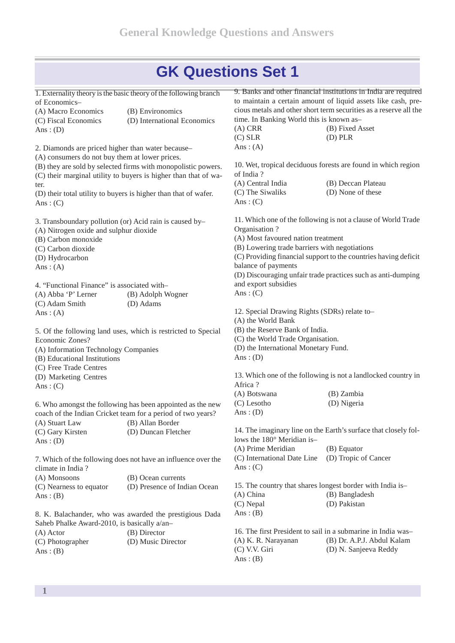1. Externality theory is the basic theory of the following branch of Economics–

| (A) Macro Economics  | (B) Environomics            |  |
|----------------------|-----------------------------|--|
| (C) Fiscal Economics | (D) International Economics |  |
| Ans: $(D)$           |                             |  |

2. Diamonds are priced higher than water because–

(A) consumers do not buy them at lower prices.

- (B) they are sold by selected firms with monopolistic powers. (C) their marginal utility to buyers is higher than that of wa-
- ter.

(D) their total utility to buyers is higher than that of wafer. Ans:  $(C)$ 

3. Transboundary pollution (or) Acid rain is caused by–

- (A) Nitrogen oxide and sulphur dioxide
- (B) Carbon monoxide
- (C) Carbon dioxide
- (D) Hydrocarbon
- Ans:  $(A)$

4. "Functional Finance" is associated with– (A) Abba 'P' Lerner (B) Adolph Wogner (C) Adam Smith (D) Adams Ans:  $(A)$ 

5. Of the following land uses, which is restricted to Special Economic Zones? (A) Information Technology Companies (B) Educational Institutions

- 
- (C) Free Trade Centres
- (D) Marketing Centres

Ans:  $(C)$ 

6. Who amongst the following has been appointed as the new coach of the Indian Cricket team for a period of two years? (A) Stuart Law (B) Allan Border (C) Gary Kirsten (D) Duncan Fletcher Ans:  $(D)$ 

7. Which of the following does not have an influence over the climate in India ?

(A) Monsoons (B) Ocean currents (C) Nearness to equator (D) Presence of Indian Ocean Ans:  $(B)$ 

8. K. Balachander, who was awarded the prestigious Dada Saheb Phalke Award-2010, is basically a/an– (A) Actor (B) Director (C) Photographer (D) Music Director Ans:  $(B)$ 

9. Banks and other financial institutions in India are required to maintain a certain amount of liquid assets like cash, pre cious metals and other short term securities as a reserve allthe time. In Banking World this is known as–

(A) CRR (B) Fixed Asset (C) SLR (D) PLR Ans:  $(A)$ 

10. Wet, tropical deciduous forests are found in which region of India ?

| (A) Central India | (B) Deccan Plateau |
|-------------------|--------------------|
| (C) The Siwaliks  | (D) None of these  |
| Ans: $(C)$        |                    |

11. Which one of the following is not a clause of World Trade Organisation ? (A) Most favoured nation treatment

(B) Lowering trade barriers with negotiations

(C) Providing financial support to the countries having deficit balance of payments

(D) Discouraging unfair trade practices such as anti-dumping and export subsidies

Ans:  $(C)$ 

12. Special Drawing Rights (SDRs) relate to–

(A) the World Bank

(B) the Reserve Bank of India.

- (C) the World Trade Organisation.
- (D) the International Monetary Fund.

Ans:  $(D)$ 

13. Which one of the following is not a landlocked country in Africa ?

| (A) Botswana | (B) Zambia  |
|--------------|-------------|
| (C) Lesotho  | (D) Nigeria |
| Ans: $(D)$   |             |

14. The imaginary line on the Earth's surface that closely follows the 180° Meridian is–

(A) Prime Meridian (B) Equator (C) International Date Line (D) Tropic of Cancer Ans:  $(C)$ 

15. The country that shares longest border with India is– (A) China (B) Bangladesh (C) Nepal (D) Pakistan Ans:  $(B)$ 

16. The first President to sail in a submarine in India was– (A) K. R. Narayanan (B) Dr. A.P.J. Abdul Kalam (C) V.V. Giri (D) N. Sanjeeva Reddy Ans:  $(B)$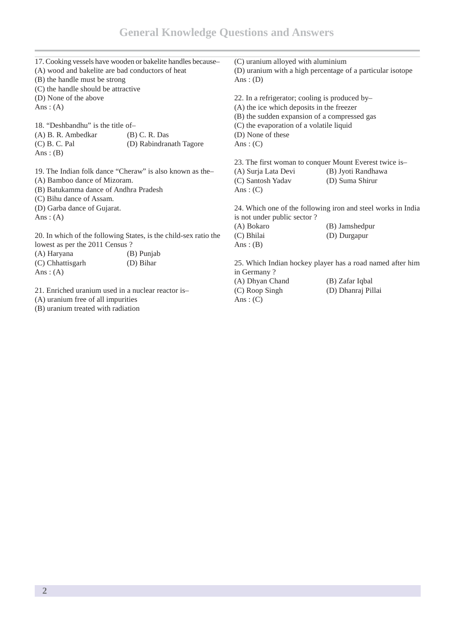| 17. Cooking vessels have wooden or bakelite handles because-     |                                                          | (C) uranium alloyed with aluminium                         |                                                              |
|------------------------------------------------------------------|----------------------------------------------------------|------------------------------------------------------------|--------------------------------------------------------------|
| (A) wood and bakelite are bad conductors of heat                 |                                                          | (D) uranium with a high percentage of a particular isotope |                                                              |
| (B) the handle must be strong                                    |                                                          | Ans: $(D)$                                                 |                                                              |
| (C) the handle should be attractive                              |                                                          |                                                            |                                                              |
| (D) None of the above                                            |                                                          | 22. In a refrigerator; cooling is produced by-             |                                                              |
| Ans: $(A)$                                                       |                                                          | (A) the ice which deposits in the freezer                  |                                                              |
|                                                                  |                                                          | (B) the sudden expansion of a compressed gas               |                                                              |
| 18. "Deshbandhu" is the title of-                                |                                                          | (C) the evaporation of a volatile liquid                   |                                                              |
| (A) B. R. Ambedkar                                               | $(B)$ C. R. Das                                          | (D) None of these                                          |                                                              |
| $(C)$ B. C. Pal                                                  | (D) Rabindranath Tagore                                  | Ans: $(C)$                                                 |                                                              |
| Ans: $(B)$                                                       |                                                          |                                                            |                                                              |
|                                                                  |                                                          |                                                            | 23. The first woman to conquer Mount Everest twice is-       |
|                                                                  | 19. The Indian folk dance "Cheraw" is also known as the- | (A) Surja Lata Devi                                        | (B) Jyoti Randhawa                                           |
| (A) Bamboo dance of Mizoram.                                     |                                                          | (C) Santosh Yadav                                          | (D) Suma Shirur                                              |
| (B) Batukamma dance of Andhra Pradesh                            |                                                          | Ans: $(C)$                                                 |                                                              |
| (C) Bihu dance of Assam.                                         |                                                          |                                                            |                                                              |
| (D) Garba dance of Gujarat.                                      |                                                          |                                                            | 24. Which one of the following iron and steel works in India |
| Ans: $(A)$                                                       |                                                          | is not under public sector?                                |                                                              |
|                                                                  |                                                          | (A) Bokaro                                                 | (B) Jamshedpur                                               |
| 20. In which of the following States, is the child-sex ratio the |                                                          | (C) Bhilai                                                 | (D) Durgapur                                                 |
| lowest as per the 2011 Census ?                                  |                                                          | Ans: $(B)$                                                 |                                                              |
| (A) Haryana                                                      | (B) Punjab                                               |                                                            |                                                              |
| (C) Chhattisgarh                                                 | (D) Bihar                                                |                                                            | 25. Which Indian hockey player has a road named after him    |
| Ans: $(A)$                                                       |                                                          | in Germany?                                                |                                                              |
|                                                                  |                                                          | (A) Dhyan Chand                                            | (B) Zafar Iqbal                                              |
| 21. Enriched uranium used in a nuclear reactor is-               |                                                          | (C) Roop Singh                                             | (D) Dhanraj Pillai                                           |
| (A) uranium free of all impurities                               |                                                          | Ans: $(C)$                                                 |                                                              |
| (B) uranium treated with radiation                               |                                                          |                                                            |                                                              |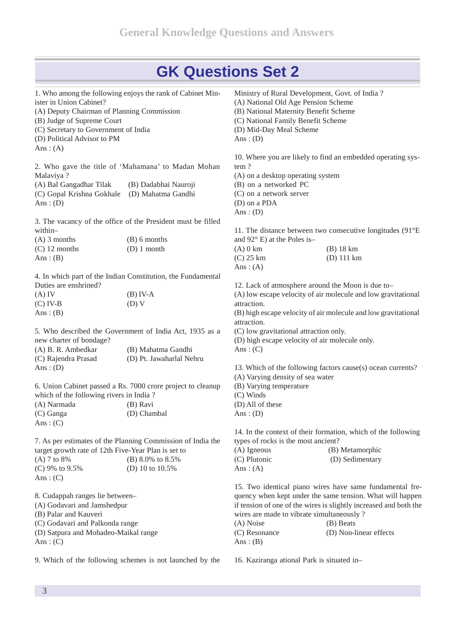|                                                                          | 1. Who among the following enjoys the rank of Cabinet Min-   |                                        | Ministry of Rural Development, Govt. of India?                      |
|--------------------------------------------------------------------------|--------------------------------------------------------------|----------------------------------------|---------------------------------------------------------------------|
| ister in Union Cabinet?                                                  |                                                              | (A) National Old Age Pension Scheme    |                                                                     |
| (A) Deputy Chairman of Planning Commission<br>(B) Judge of Supreme Court |                                                              | (B) National Maternity Benefit Scheme  |                                                                     |
|                                                                          |                                                              | (C) National Family Benefit Scheme     |                                                                     |
| (C) Secretary to Government of India                                     |                                                              | (D) Mid-Day Meal Scheme                |                                                                     |
| (D) Political Advisor to PM                                              |                                                              | Ans: $(D)$                             |                                                                     |
| Ans: $(A)$                                                               |                                                              |                                        |                                                                     |
|                                                                          |                                                              |                                        | 10. Where you are likely to find an embedded operating sys-         |
|                                                                          | 2. Who gave the title of 'Mahamana' to Madan Mohan           | tem?                                   |                                                                     |
| Malaviya ?                                                               |                                                              | (A) on a desktop operating system      |                                                                     |
| (A) Bal Gangadhar Tilak                                                  | (B) Dadabhai Nauroji                                         | (B) on a networked PC                  |                                                                     |
| (C) Gopal Krishna Gokhale                                                | (D) Mahatma Gandhi                                           | (C) on a network server                |                                                                     |
| Ans: $(D)$                                                               |                                                              | (D) on a PDA                           |                                                                     |
|                                                                          |                                                              | Ans: $(D)$                             |                                                                     |
|                                                                          | 3. The vacancy of the office of the President must be filled |                                        |                                                                     |
| within-                                                                  |                                                              |                                        | 11. The distance between two consecutive longitudes $(91^{\circ}E)$ |
| $(A)$ 3 months                                                           | $(B)$ 6 months                                               | and $92^{\circ}$ E) at the Poles is-   |                                                                     |
| $(C)$ 12 months                                                          | $(D) 1$ month                                                | $(A)$ 0 km                             | $(B)$ 18 km                                                         |
| Ans: $(B)$                                                               |                                                              | $(C)$ 25 km                            | $(D)$ 111 km                                                        |
|                                                                          |                                                              | Ans: $(A)$                             |                                                                     |
|                                                                          | 4. In which part of the Indian Constitution, the Fundamental |                                        |                                                                     |
| Duties are enshrined?                                                    |                                                              |                                        | 12. Lack of atmosphere around the Moon is due to-                   |
| $(A)$ IV                                                                 | $(B)$ IV-A                                                   |                                        | (A) low escape velocity of air molecule and low gravitational       |
| $(C)$ IV-B                                                               | (D) V                                                        | attraction.                            |                                                                     |
| Ans: $(B)$                                                               |                                                              |                                        | (B) high escape velocity of air molecule and low gravitational      |
|                                                                          |                                                              | attraction.                            |                                                                     |
|                                                                          | 5. Who described the Government of India Act, 1935 as a      | (C) low gravitational attraction only. |                                                                     |
| new charter of bondage?                                                  |                                                              |                                        | (D) high escape velocity of air molecule only.                      |
| (A) B. R. Ambedkar                                                       | (B) Mahatma Gandhi                                           | Ans: $(C)$                             |                                                                     |
| (C) Rajendra Prasad                                                      | (D) Pt. Jawaharlal Nehru                                     |                                        |                                                                     |
| Ans: $(D)$                                                               |                                                              |                                        | 13. Which of the following factors cause(s) ocean currents?         |
|                                                                          |                                                              | (A) Varying density of sea water       |                                                                     |
|                                                                          | 6. Union Cabinet passed a Rs. 7000 crore project to cleanup  | (B) Varying temperature                |                                                                     |
| which of the following rivers in India?                                  |                                                              | $(C)$ Winds                            |                                                                     |
| (A) Narmada                                                              | (B) Ravi                                                     | (D) All of these                       |                                                                     |
| (C) Ganga                                                                | (D) Chambal                                                  | Ans: $(D)$                             |                                                                     |
| Ans: $(C)$                                                               |                                                              |                                        |                                                                     |
|                                                                          |                                                              |                                        | 14. In the context of their formation, which of the following       |
|                                                                          | 7. As per estimates of the Planning Commission of India the  | types of rocks is the most ancient?    |                                                                     |
| target growth rate of 12th Five-Year Plan is set to                      |                                                              | $(A)$ Igneous                          | (B) Metamorphic                                                     |
| (A) 7 to 8%                                                              | (B) 8.0% to 8.5%                                             | (C) Plutonic                           | (D) Sedimentary                                                     |
| (C) 9% to 9.5%                                                           | (D) 10 to 10.5%                                              | Ans: $(A)$                             |                                                                     |
| Ans: $(C)$                                                               |                                                              |                                        |                                                                     |
|                                                                          |                                                              |                                        | 15. Two identical piano wires have same fundamental fre-            |
| 8. Cudappah ranges lie between-                                          |                                                              |                                        | quency when kept under the same tension. What will happen           |
| (A) Godavari and Jamshedpur                                              |                                                              |                                        | if tension of one of the wires is slightly increased and both the   |
| (B) Palar and Kauveri                                                    |                                                              |                                        | wires are made to vibrate simultaneously?                           |
| (C) Godavari and Palkonda range                                          |                                                              | (A) Noise                              | (B) Beats                                                           |
| (D) Satpura and Mohadeo-Maikal range                                     |                                                              | (C) Resonance                          | (D) Non-linear effects                                              |
|                                                                          |                                                              |                                        |                                                                     |

Ans : (C)

9. Which of the following schemes is not launched by the

16. Kaziranga ational Park is situated in–

Ans:  $(B)$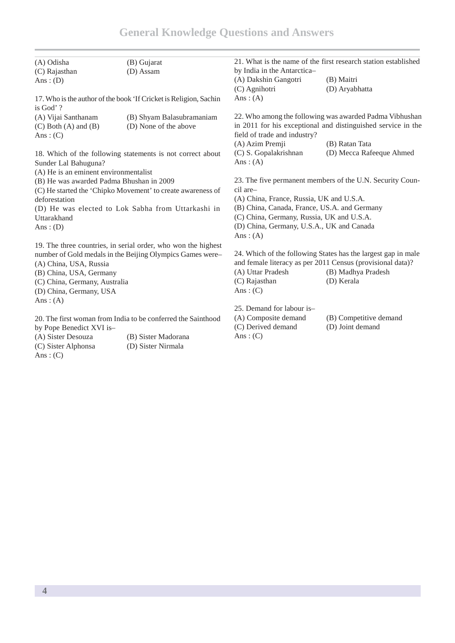| (A) Odisha                                                   | (B) Gujarat                                                       |                                              | 21. What is the name of the first research station established |
|--------------------------------------------------------------|-------------------------------------------------------------------|----------------------------------------------|----------------------------------------------------------------|
| (C) Rajasthan                                                | (D) Assam                                                         | by India in the Antarctica-                  |                                                                |
| Ans: $(D)$                                                   |                                                                   | (A) Dakshin Gangotri                         | (B) Maitri                                                     |
|                                                              |                                                                   | (C) Agnihotri                                | (D) Aryabhatta                                                 |
|                                                              | 17. Who is the author of the book 'If Cricket is Religion, Sachin | Ans: $(A)$                                   |                                                                |
| is God'?                                                     |                                                                   |                                              |                                                                |
| (A) Vijai Santhanam                                          | (B) Shyam Balasubramaniam                                         |                                              | 22. Who among the following was awarded Padma Vibhushan        |
| $(C)$ Both $(A)$ and $(B)$<br>Ans: $(C)$                     | (D) None of the above                                             | field of trade and industry?                 | in 2011 for his exceptional and distinguished service in the   |
|                                                              |                                                                   | (A) Azim Premji                              | (B) Ratan Tata                                                 |
|                                                              | 18. Which of the following statements is not correct about        | (C) S. Gopalakrishnan                        | (D) Mecca Rafeeque Ahmed                                       |
| Sunder Lal Bahuguna?                                         |                                                                   | Ans: $(A)$                                   |                                                                |
| (A) He is an eminent environmentalist                        |                                                                   |                                              |                                                                |
| (B) He was awarded Padma Bhushan in 2009                     |                                                                   |                                              | 23. The five permanent members of the U.N. Security Coun-      |
| (C) He started the 'Chipko Movement' to create awareness of  |                                                                   | cil are-                                     |                                                                |
| deforestation                                                |                                                                   | (A) China, France, Russia, UK and U.S.A.     |                                                                |
| (D) He was elected to Lok Sabha from Uttarkashi in           |                                                                   | (B) China, Canada, France, US.A. and Germany |                                                                |
| Uttarakhand                                                  |                                                                   | (C) China, Germany, Russia, UK and U.S.A.    |                                                                |
| Ans: $(D)$                                                   |                                                                   | (D) China, Germany, U.S.A., UK and Canada    |                                                                |
|                                                              |                                                                   | Ans: $(A)$                                   |                                                                |
|                                                              | 19. The three countries, in serial order, who won the highest     |                                              |                                                                |
|                                                              | number of Gold medals in the Beijing Olympics Games were-         |                                              | 24. Which of the following States has the largest gap in male  |
| (A) China, USA, Russia                                       |                                                                   |                                              | and female literacy as per 2011 Census (provisional data)?     |
| (B) China, USA, Germany                                      |                                                                   | (A) Uttar Pradesh                            | (B) Madhya Pradesh                                             |
| (C) China, Germany, Australia                                |                                                                   | (C) Rajasthan                                | (D) Kerala                                                     |
| (D) China, Germany, USA                                      |                                                                   | Ans: $(C)$                                   |                                                                |
| Ans: $(A)$                                                   |                                                                   |                                              |                                                                |
|                                                              |                                                                   | 25. Demand for labour is-                    |                                                                |
| 20. The first woman from India to be conferred the Sainthood |                                                                   | (A) Composite demand                         | (B) Competitive demand                                         |
| by Pope Benedict XVI is-                                     |                                                                   | (C) Derived demand                           | (D) Joint demand                                               |
| (A) Sister Desouza                                           | (B) Sister Madorana                                               | Ans: $(C)$                                   |                                                                |
|                                                              |                                                                   |                                              |                                                                |

Ans:  $(C)$ 

(C) Sister Alphonsa (D) Sister Nirmala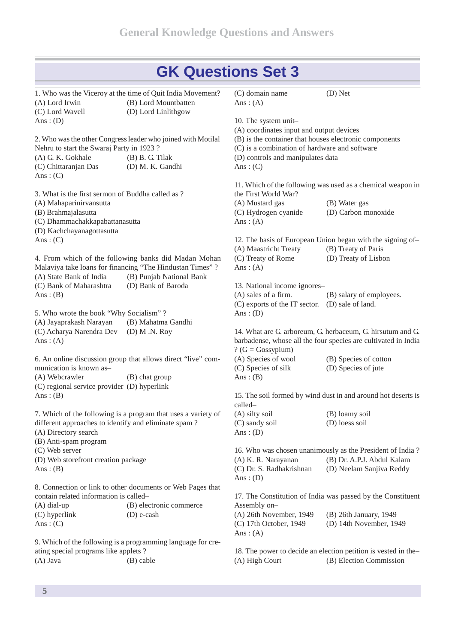1. Who was the Viceroy at the time of Quit India Movement? (A) Lord Irwin (B) Lord Mountbatten (C) Lord Wavell (D) Lord Linlithgow Ans:  $(D)$ 2. Who wasthe other Congressleader who joined with Motilal Nehru to start the Swaraj Party in 1923 ?<br>
(A) G. K. Gokhale (B) B. G. Tilak  $(A)$  G. K. Gokhale (C) Chittaranjan Das (D) M. K. Gandhi Ans:  $(C)$ 3. What is the first sermon of Buddha called as ? (A) Mahaparinirvansutta (B) Brahmajalasutta (C) Dhammachakkapabattanasutta (D) Kachchayanagottasutta Ans:  $(C)$ 4. From which of the following banks did Madan Mohan (C) Treaty of Rome Malaviya take loans for financing "The Hindustan Times" ? (A) State Bank of India (B) Punjab National Bank (C) Bank of Maharashtra (D) Bank of Baroda Ans:  $(B)$ 5. Who wrote the book "Why Socialism" ? (A) Jayaprakash Narayan (B) Mahatma Gandhi (C) Acharya Narendra Dev (D) M .N. Roy Ans:  $(A)$ 6. An online discussion group that allows direct "live" com munication is known as– (A) Webcrawler (B) chat group (C) regional service provider (D) hyperlink Ans:  $(B)$ 7. Which of the following is a program that uses a variety of different approaches to identify and eliminate spam ? (A) Directory search (B) Anti-spam program (C) Web server (D) Web storefront creation package Ans:  $(B)$ 8. Connection or link to other documents or Web Pages that contain related information is called– (A) dial-up (B) electronic commerce (C) hyperlink (D) e-cash Ans:  $(C)$ 9. Which of the following isa programming language for cre ating special programs like applets ? (A) Java (B) cable (C) domain name (D) Net Ans:  $(A)$ 10. The system unit– (A) coordinates input and output devices (B) is the container that houses electronic components (C) is a combination of hardware and software (D) controls and manipulates data Ans:  $(C)$ 11. Which of the following was used as a chemical weapon in the First World War? (A) Mustard gas (B) Water gas (C) Hydrogen cyanide (D) Carbon monoxide Ans:  $(A)$ 12. The basis of European Union began with the signing of– (A) Maastricht Treaty (B) Treaty of Paris (D) Treaty of Lisbon Ans:  $(A)$ 13. National income ignores– (A) sales of a firm. (B) salary of employees. (C) exports of the IT sector. (D) sale of land. Ans:  $(D)$ 14. What are G. arboreum, G. herbaceum, G. hirsutum and G. barbadense, whose all the four species are cultivated in India ?  $(G = Gossvpium)$ (B) Species of cotton (C) Species of silk (D) Species of jute Ans:  $(B)$ 15. The soil formed by wind dust in and around hot deserts is called–  $(B)$  loamy soil (C) sandy soil (D) loess soil Ans:  $(D)$ 16. Who was chosen unanimously as the President of India ? (A) K. R. Narayanan (B) Dr. A.P.J. Abdul Kalam (C) Dr. S. Radhakrishnan (D) Neelam Sanjiva Reddy Ans:  $(D)$ 17. The Constitution of India was passed by the Constituent Assembly on– (A) 26th November, 1949 (B) 26th January, 1949 (C) 17th October, 1949 (D) 14th November, 1949 Ans:  $(A)$ 18. The power to decide an election petition is vested in the– (A) High Court (B) Election Commission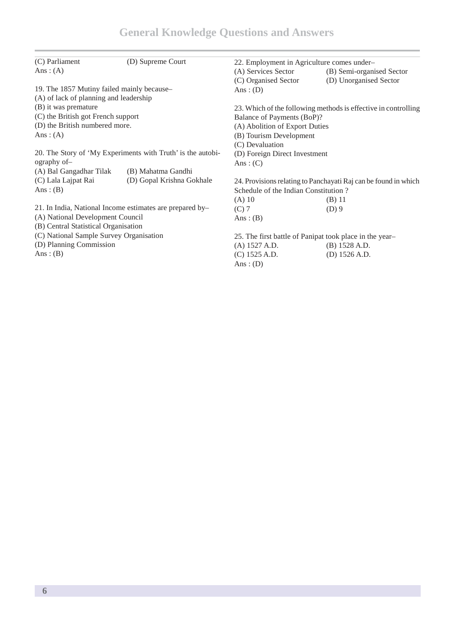| (C) Parliament                                              | (D) Supreme Court                                        | 22. Employment in Agriculture comes under- |                                                                 |  |
|-------------------------------------------------------------|----------------------------------------------------------|--------------------------------------------|-----------------------------------------------------------------|--|
| Ans: $(A)$                                                  |                                                          | (A) Services Sector                        | (B) Semi-organised Sector                                       |  |
|                                                             |                                                          | (C) Organised Sector                       | (D) Unorganised Sector                                          |  |
| 19. The 1857 Mutiny failed mainly because-                  |                                                          | Ans: $(D)$                                 |                                                                 |  |
| (A) of lack of planning and leadership                      |                                                          |                                            |                                                                 |  |
| (B) it was premature                                        |                                                          |                                            | 23. Which of the following methods is effective in controlling  |  |
| (C) the British got French support                          |                                                          | Balance of Payments (BoP)?                 |                                                                 |  |
| (D) the British numbered more.                              |                                                          | (A) Abolition of Export Duties             |                                                                 |  |
| Ans: $(A)$                                                  |                                                          | (B) Tourism Development                    |                                                                 |  |
|                                                             |                                                          |                                            | (C) Devaluation                                                 |  |
| 20. The Story of 'My Experiments with Truth' is the autobi- |                                                          | (D) Foreign Direct Investment              |                                                                 |  |
| ography of-                                                 |                                                          | Ans: $(C)$                                 |                                                                 |  |
| (A) Bal Gangadhar Tilak                                     | (B) Mahatma Gandhi                                       |                                            |                                                                 |  |
| (C) Lala Lajpat Rai                                         | (D) Gopal Krishna Gokhale                                |                                            | 24. Provisions relating to Panchayati Raj can be found in which |  |
| Ans: $(B)$                                                  |                                                          | Schedule of the Indian Constitution?       |                                                                 |  |
|                                                             |                                                          | $(A)$ 10                                   | $(B)$ 11                                                        |  |
|                                                             | 21. In India, National Income estimates are prepared by- | $(C)$ 7                                    | $(D)$ 9                                                         |  |
|                                                             | (A) National Development Council                         |                                            |                                                                 |  |
| (B) Central Statistical Organisation                        |                                                          | Ans: $(B)$                                 |                                                                 |  |
| (C) National Sample Survey Organisation                     |                                                          |                                            | 25. The first battle of Panipat took place in the year-         |  |
| (D) Planning Commission                                     |                                                          | (A) 1527 A.D.                              | (B) 1528 A.D.                                                   |  |
| Ans: $(B)$                                                  |                                                          | (C) 1525 A.D.                              | (D) $1526$ A.D.                                                 |  |
|                                                             |                                                          | Ans: $(D)$                                 |                                                                 |  |
|                                                             |                                                          |                                            |                                                                 |  |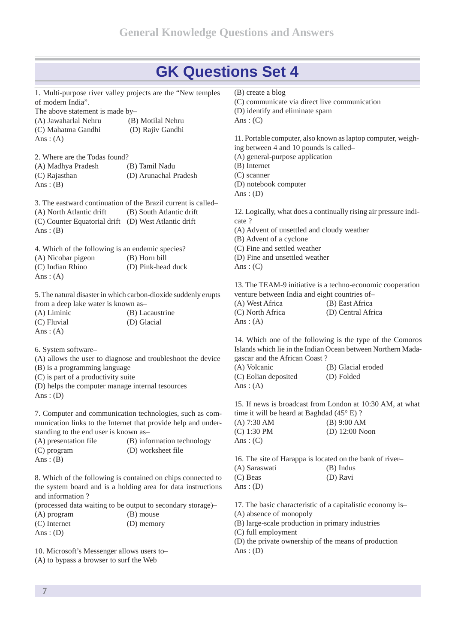| 1. Multi-purpose river valley projects are the "New temples" |                                                                 | (B) create a blog                                  |                                                                  |
|--------------------------------------------------------------|-----------------------------------------------------------------|----------------------------------------------------|------------------------------------------------------------------|
| of modern India".                                            |                                                                 | (C) communicate via direct live communication      |                                                                  |
| The above statement is made by-                              |                                                                 | (D) identify and eliminate spam                    |                                                                  |
| (A) Jawaharlal Nehru                                         | (B) Motilal Nehru                                               | Ans: $(C)$                                         |                                                                  |
| (C) Mahatma Gandhi                                           | (D) Rajiv Gandhi                                                |                                                    |                                                                  |
| Ans: $(A)$                                                   |                                                                 |                                                    | 11. Portable computer, also known as laptop computer, weigh-     |
|                                                              |                                                                 | ing between 4 and 10 pounds is called-             |                                                                  |
| 2. Where are the Todas found?                                |                                                                 | (A) general-purpose application                    |                                                                  |
| (A) Madhya Pradesh                                           | (B) Tamil Nadu                                                  | (B) Internet                                       |                                                                  |
| (C) Rajasthan                                                | (D) Arunachal Pradesh                                           | $(C)$ scanner                                      |                                                                  |
| Ans: $(B)$                                                   |                                                                 | (D) notebook computer                              |                                                                  |
|                                                              |                                                                 | Ans: $(D)$                                         |                                                                  |
|                                                              | 3. The eastward continuation of the Brazil current is called-   |                                                    |                                                                  |
| (A) North Atlantic drift                                     | (B) South Atlantic drift                                        |                                                    | 12. Logically, what does a continually rising air pressure indi- |
| (C) Counter Equatorial drift (D) West Atlantic drift         |                                                                 | cate ?                                             |                                                                  |
| Ans: $(B)$                                                   |                                                                 | (A) Advent of unsettled and cloudy weather         |                                                                  |
|                                                              |                                                                 | (B) Advent of a cyclone                            |                                                                  |
| 4. Which of the following is an endemic species?             |                                                                 | (C) Fine and settled weather                       |                                                                  |
| (A) Nicobar pigeon                                           | (B) Horn bill                                                   | (D) Fine and unsettled weather                     |                                                                  |
| (C) Indian Rhino                                             | (D) Pink-head duck                                              | Ans: $(C)$                                         |                                                                  |
| Ans: $(A)$                                                   |                                                                 |                                                    |                                                                  |
|                                                              |                                                                 |                                                    | 13. The TEAM-9 initiative is a techno-economic cooperation       |
|                                                              | 5. The natural disaster in which carbon-dioxide suddenly erupts | venture between India and eight countries of-      |                                                                  |
| from a deep lake water is known as-                          |                                                                 | (A) West Africa                                    | (B) East Africa                                                  |
|                                                              |                                                                 | (C) North Africa                                   | (D) Central Africa                                               |
| (A) Liminic                                                  | (B) Lacaustrine                                                 |                                                    |                                                                  |
| (C) Fluvial                                                  | (D) Glacial                                                     | Ans: $(A)$                                         |                                                                  |
| Ans: $(A)$                                                   |                                                                 |                                                    |                                                                  |
|                                                              |                                                                 |                                                    | 14. Which one of the following is the type of the Comoros        |
| 6. System software-                                          |                                                                 |                                                    | Islands which lie in the Indian Ocean between Northern Mada-     |
|                                                              | (A) allows the user to diagnose and troubleshoot the device     | gascar and the African Coast?                      |                                                                  |
| (B) is a programming language                                |                                                                 | (A) Volcanic                                       | (B) Glacial eroded                                               |
| (C) is part of a productivity suite                          |                                                                 | (C) Eolian deposited                               | (D) Folded                                                       |
| (D) helps the computer manage internal tesources             |                                                                 | Ans: $(A)$                                         |                                                                  |
| Ans: $(D)$                                                   |                                                                 |                                                    |                                                                  |
|                                                              |                                                                 |                                                    | 15. If news is broadcast from London at 10:30 AM, at what        |
|                                                              | 7. Computer and communication technologies, such as com-        | time it will be heard at Baghdad $(45^{\circ}$ E)? |                                                                  |
|                                                              | munication links to the Internet that provide help and under-   | (A) 7:30 AM                                        | $(B)$ 9:00 AM                                                    |
| standing to the end user is known as-                        |                                                                 | (C) 1:30 PM                                        | (D) $12:00$ Noon                                                 |
| (A) presentation file                                        | (B) information technology                                      | Ans: $(C)$                                         |                                                                  |
| (C) program                                                  | (D) worksheet file                                              |                                                    |                                                                  |
| Ans: $(B)$                                                   |                                                                 |                                                    | 16. The site of Harappa is located on the bank of river-         |
|                                                              |                                                                 | (A) Saraswati                                      | (B) Indus                                                        |
|                                                              | 8. Which of the following is contained on chips connected to    | (C) Beas                                           | (D) Ravi                                                         |
|                                                              | the system board and is a holding area for data instructions    |                                                    |                                                                  |
| and information?                                             |                                                                 |                                                    |                                                                  |
|                                                              | (processed data waiting to be output to secondary storage)-     |                                                    | 17. The basic characteristic of a capitalistic economy is-       |
| (A) program                                                  | (B) mouse                                                       | (A) absence of monopoly                            |                                                                  |

(B) large-scale production in primary industries

Ans:  $(D)$ 

10. Microsoft's Messenger allows users to– (A) to bypass a browser to surf the Web

(C) Internet (D) memory

(C) full employment (D) the private ownership of the means of production Ans:  $(D)$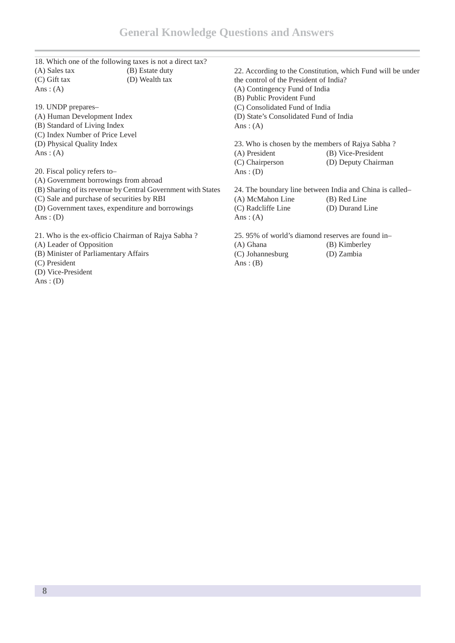|                                                  | 18. Which one of the following taxes is not a direct tax?    |                                                   |                                                             |
|--------------------------------------------------|--------------------------------------------------------------|---------------------------------------------------|-------------------------------------------------------------|
| (A) Sales tax                                    | (B) Estate duty                                              |                                                   | 22. According to the Constitution, which Fund will be under |
| $(C)$ Gift tax                                   | (D) Wealth tax                                               | the control of the President of India?            |                                                             |
| Ans: $(A)$                                       |                                                              | (A) Contingency Fund of India                     |                                                             |
|                                                  |                                                              | (B) Public Provident Fund                         |                                                             |
| 19. UNDP prepares-                               |                                                              | (C) Consolidated Fund of India                    |                                                             |
| (A) Human Development Index                      |                                                              | (D) State's Consolidated Fund of India            |                                                             |
| (B) Standard of Living Index                     |                                                              | Ans: $(A)$                                        |                                                             |
| (C) Index Number of Price Level                  |                                                              |                                                   |                                                             |
| (D) Physical Quality Index                       |                                                              | 23. Who is chosen by the members of Rajya Sabha?  |                                                             |
| Ans: $(A)$                                       |                                                              | (A) President                                     | (B) Vice-President                                          |
|                                                  |                                                              | (C) Chairperson                                   | (D) Deputy Chairman                                         |
| 20. Fiscal policy refers to-                     |                                                              | Ans: $(D)$                                        |                                                             |
| (A) Government borrowings from abroad            |                                                              |                                                   |                                                             |
|                                                  | (B) Sharing of its revenue by Central Government with States |                                                   | 24. The boundary line between India and China is called-    |
| (C) Sale and purchase of securities by RBI       |                                                              | (A) McMahon Line                                  | (B) Red Line                                                |
| (D) Government taxes, expenditure and borrowings |                                                              | (C) Radcliffe Line                                | (D) Durand Line                                             |
| Ans: $(D)$                                       |                                                              | Ans: $(A)$                                        |                                                             |
|                                                  | 21. Who is the ex-officio Chairman of Rajya Sabha?           | 25, 95% of world's diamond reserves are found in- |                                                             |
| (A) Leader of Opposition                         |                                                              | (A) Ghana                                         | (B) Kimberley                                               |
| (B) Minister of Parliamentary Affairs            |                                                              | (C) Johannesburg                                  | (D) Zambia                                                  |
| (C) President                                    |                                                              | Ans: $(B)$                                        |                                                             |

- (D) Vice-President
- Ans:  $(D)$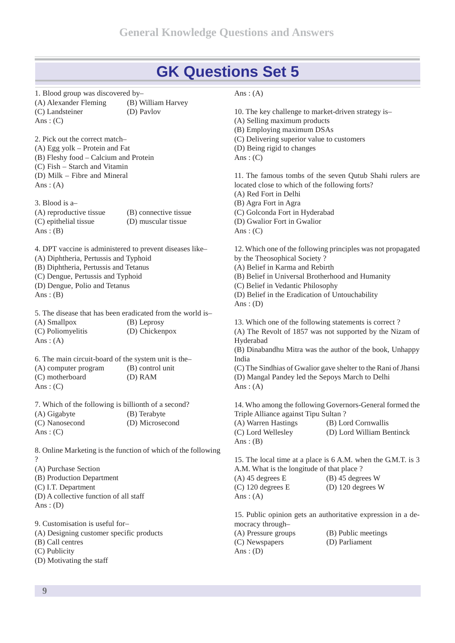1. Blood group was discovered by– (A) Alexander Fleming (B) William Harvey (C) Landsteiner (D) Pavlov Ans:  $(C)$ 

2. Pick out the correct match– (A) Egg yolk – Protein and Fat (B) Fleshy food – Calcium and Protein (C) Fish – Starch and Vitamin (D) Milk – Fibre and Mineral Ans:  $(A)$ 

3. Blood is a– (A) reproductive tissue (B) connective tissue (C) epithelial tissue (D) muscular tissue Ans :  $(B)$ 

4. DPT vaccine is administered to prevent diseases like– (A) Diphtheria, Pertussis and Typhoid (B) Diphtheria, Pertussis and Tetanus (C) Dengue, Pertussis and Typhoid (D) Dengue, Polio and Tetanus Ans:  $(B)$ 

5. The disease that has been eradicated from the world is– (A) Smallpox (B) Leprosy (C) Poliomyelitis (D) Chickenpox Ans:  $(A)$ 

6. The main circuit-board of the system unit is the– (A) computer program (B) control unit (C) motherboard (D) RAM Ans:  $(C)$ 

7. Which of the following is billionth of a second? (A) Gigabyte (B) Terabyte (C) Nanosecond (D) Microsecond Ans:  $(C)$ 

8. Online Marketing is the function of which of the following ? (A) Purchase Section

(B) Production Department

(C) I.T. Department

(D) A collective function of all staff Ans:  $(D)$ 

9. Customisation is useful for– (A) Designing customer specific products (B) Call centres (C) Publicity (D) Motivating the staff

#### Ans:  $(A)$

10. The key challenge to market-driven strategy is– (A) Selling maximum products (B) Employing maximum DSAs (C) Delivering superior value to customers (D) Being rigid to changes Ans:  $(C)$ 11. The famous tombs of the seven Qutub Shahi rulers are located close to which of the following forts? (A) Red Fort in Delhi (B) Agra Fort in Agra (C) Golconda Fort in Hyderabad (D) Gwalior Fort in Gwalior Ans:  $(C)$ 12. Which one of the following principles was not propagated by the Theosophical Society ? (A) Belief in Karma and Rebirth (B) Belief in Universal Brotherhood and Humanity (C) Belief in Vedantic Philosophy (D) Belief in the Eradication of Untouchability Ans:  $(D)$ 13. Which one of the following statements is correct ? (A) The Revolt of 1857 was not supported by the Nizam of Hyderabad (B) Dinabandhu Mitra was the author of the book, Unhappy India (C) The Sindhias of Gwalior gave shelter to the Rani of Jhansi (D) Mangal Pandey led the Sepoys March to Delhi Ans:  $(A)$ 14. Who among the following Governors-General formed the Triple Alliance against Tipu Sultan ? (A) Warren Hastings (B) Lord Cornwallis (C) Lord Wellesley (D) Lord William Bentinck Ans:  $(B)$ 15. The local time at a place is 6 A.M. when the G.M.T. is 3 A.M. What is the longitude of that place ?  $(A)$  45 degrees E (B) 45 degrees W (C) 120 degrees E (D) 120 degrees W Ans:  $(A)$ 15. Public opinion gets an authoritative expression in a de mocracy through– (A) Pressure groups (B) Public meetings (C) Newspapers (D) Parliament Ans:  $(D)$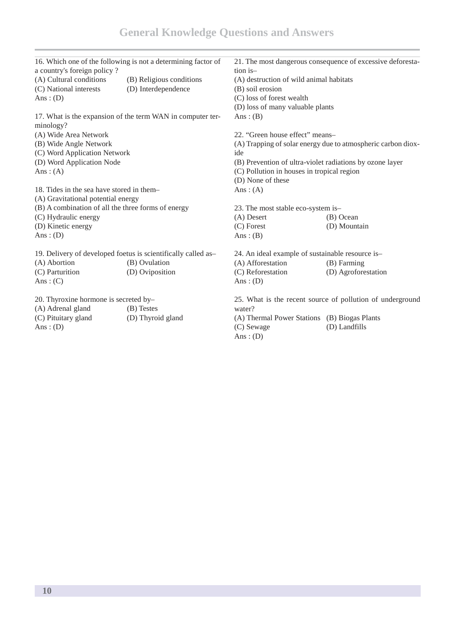|                                                    | 16. Which one of the following is not a determining factor of |                                                          | 21. The most dangerous consequence of excessive deforesta-   |
|----------------------------------------------------|---------------------------------------------------------------|----------------------------------------------------------|--------------------------------------------------------------|
| a country's foreign policy?                        |                                                               | tion is-                                                 |                                                              |
| (A) Cultural conditions                            | (B) Religious conditions                                      | (A) destruction of wild animal habitats                  |                                                              |
| (C) National interests                             | (D) Interdependence                                           | (B) soil erosion                                         |                                                              |
| Ans: $(D)$                                         |                                                               | (C) loss of forest wealth                                |                                                              |
|                                                    |                                                               | (D) loss of many valuable plants                         |                                                              |
|                                                    | 17. What is the expansion of the term WAN in computer ter-    | Ans: $(B)$                                               |                                                              |
| minology?                                          |                                                               |                                                          |                                                              |
| (A) Wide Area Network                              |                                                               | 22. "Green house effect" means-                          |                                                              |
| (B) Wide Angle Network                             |                                                               |                                                          | (A) Trapping of solar energy due to atmospheric carbon diox- |
| (C) Word Application Network                       |                                                               | ide                                                      |                                                              |
| (D) Word Application Node                          |                                                               | (B) Prevention of ultra-violet radiations by ozone layer |                                                              |
| Ans: $(A)$                                         |                                                               | (C) Pollution in houses in tropical region               |                                                              |
|                                                    |                                                               | (D) None of these                                        |                                                              |
| 18. Tides in the sea have stored in them-          |                                                               | Ans: $(A)$                                               |                                                              |
| (A) Gravitational potential energy                 |                                                               |                                                          |                                                              |
| (B) A combination of all the three forms of energy |                                                               | 23. The most stable eco-system is-                       |                                                              |
| (C) Hydraulic energy                               |                                                               | (A) Desert                                               | (B) Ocean                                                    |
| (D) Kinetic energy                                 |                                                               | $(C)$ Forest                                             | (D) Mountain                                                 |
| Ans: $(D)$                                         |                                                               | Ans: $(B)$                                               |                                                              |
|                                                    | 19. Delivery of developed foetus is scientifically called as- | 24. An ideal example of sustainable resource is-         |                                                              |
| (A) Abortion                                       | (B) Ovulation                                                 | (A) Afforestation                                        | $(B)$ Farming                                                |
| (C) Parturition                                    | (D) Oviposition                                               | (C) Reforestation                                        | (D) Agroforestation                                          |
| Ans: $(C)$                                         |                                                               | Ans: $(D)$                                               |                                                              |
| 20. Thyroxine hormone is secreted by-              |                                                               |                                                          | 25. What is the recent source of pollution of underground    |
| (A) Adrenal gland                                  | (B) Testes                                                    | water?                                                   |                                                              |
| (C) Pituitary gland                                | (D) Thyroid gland                                             | (A) Thermal Power Stations (B) Biogas Plants             |                                                              |
| Ans: $(D)$                                         |                                                               | (C) Sewage<br>Ans: $(D)$                                 | (D) Landfills                                                |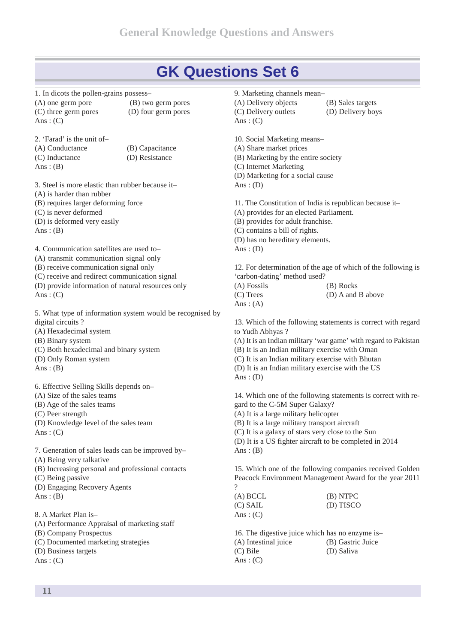- 1. In dicots the pollen-grains possess– (A) one germ pore (B) two germ pores (C) three germ pores (D) four germ pores Ans:  $(C)$
- 2. 'Farad' is the unit of– (A) Conductance (B) Capacitance (C) Inductance (D) Resistance Ans:  $(B)$ 
	-

3. Steel is more elastic than rubber because it– (A) is harder than rubber (B) requires larger deforming force (C) is never deformed (D) is deformed very easily Ans:  $(B)$ 

4. Communication satellites are used to– (A) transmit communication signal only (B) receive communication signal only (C) receive and redirect communication signal (D) provide information of natural resources only Ans:  $(C)$ 

5. What type of information system would be recognised by digital circuits ? (A) Hexadecimal system

(B) Binary system

- (C) Both hexadecimal and binary system
- (D) Only Roman system

Ans:  $(B)$ 

6. Effective Selling Skills depends on– (A) Size of the sales teams (B) Age of the sales teams (C) Peer strength (D) Knowledge level of the sales team

Ans:  $(C)$ 

7. Generation of sales leads can be improved by– (A) Being very talkative (B) Increasing personal and professional contacts (C) Being passive (D) Engaging Recovery Agents Ans:  $(B)$ 8. A Market Plan is–

(A) Performance Appraisal of marketing staff

(B) Company Prospectus

(C) Documented marketing strategies

(D) Business targets

Ans:  $(C)$ 

9. Marketing channels mean– (A) Delivery objects (B) Sales targets (C) Delivery outlets (D) Delivery boys Ans:  $(C)$ 

10. Social Marketing means– (A) Share market prices (B) Marketing by the entire society (C) Internet Marketing (D) Marketing for a social cause Ans:  $(D)$ 

11. The Constitution of India is republican because it– (A) provides for an elected Parliament.

(B) provides for adult franchise.

(C) contains a bill of rights.

(D) has no hereditary elements.

Ans:  $(D)$ 

12. For determination of the age of which of the following is 'carbon-dating' method used?

| (A) Fossils | (B) Rocks         |
|-------------|-------------------|
| (C) Trees   | (D) A and B above |
| Ans: $(A)$  |                   |

13. Which of the following statements is correct with regard to Yudh Abhyas ?

(A) It is an Indian military 'war game' with regard to Pakistan (B) It is an Indian military exercise with Oman (C) It is an Indian military exercise with Bhutan (D) It is an Indian military exercise with the US Ans:  $(D)$ 

14. Which one of the following statements is correct with re gard to the C-5M Super Galaxy? (A) It is a large military helicopter

(B) It is a large military transport aircraft

(C) It is a galaxy of stars very close to the Sun (D) It is a US fighter aircraft to be completed in 2014

Ans:  $(B)$ 

15. Which one of the following companies received Golden Peacock Environment Management Award for the year 2011 ?

| (A) BCCL   | (B) NTPC  |
|------------|-----------|
| (C) SAIL   | (D) TISCO |
| Ans: $(C)$ |           |

16. The digestive juice which has no enzyme is– (A) Intestinal juice (B) Gastric Juice (C) Bile (D) Saliva Ans:  $(C)$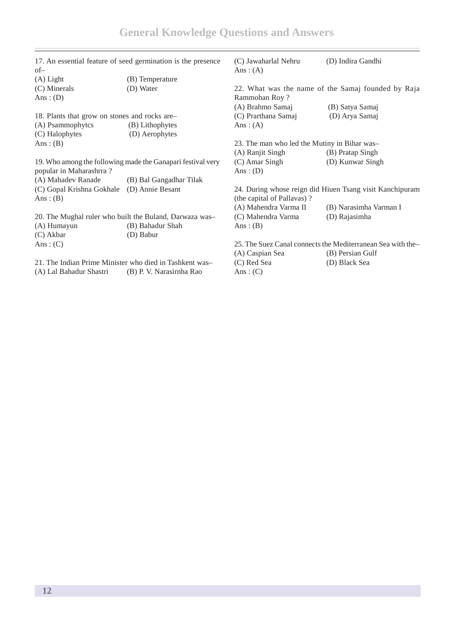| 17. An essential feature of seed germination is the presence<br>$of-$ |                          | (C) Jawaharlal Nehru<br>Ans: $(A)$           | (D) Indira Gandhi                                           |
|-----------------------------------------------------------------------|--------------------------|----------------------------------------------|-------------------------------------------------------------|
| $(A)$ Light                                                           | (B) Temperature          |                                              |                                                             |
| (C) Minerals                                                          | (D) Water                |                                              | 22. What was the name of the Samaj founded by Raja          |
| Ans: $(D)$                                                            |                          | Rammohan Roy?                                |                                                             |
|                                                                       |                          | (A) Brahmo Samaj                             | (B) Satya Samaj                                             |
| 18. Plants that grow on stones and rocks are-                         |                          | (C) Prarthana Samaj                          | (D) Arya Samaj                                              |
| (A) Psammophytes                                                      | (B) Lithophytes          | Ans: $(A)$                                   |                                                             |
| (C) Halophytes                                                        | (D) Aerophytes           |                                              |                                                             |
| Ans: $(B)$                                                            |                          | 23. The man who led the Mutiny in Bihar was- |                                                             |
|                                                                       |                          | (A) Ranjit Singh                             | (B) Pratap Singh                                            |
| 19. Who among the following made the Ganapari festival very           |                          | $(C)$ Amar Singh                             | (D) Kunwar Singh                                            |
| popular in Maharashrra?                                               |                          | Ans: $(D)$                                   |                                                             |
| (A) Mahadev Ranade                                                    | (B) Bal Gangadhar Tilak  |                                              |                                                             |
| (C) Gopal Krishna Gokhale                                             | (D) Annie Besant         |                                              | 24. During whose reign did Hiuen Tsang visit Kanchipuram    |
| Ans: $(B)$                                                            |                          | (the capital of Pallavas)?                   |                                                             |
|                                                                       |                          | (A) Mahendra Varma II                        | (B) Narasimha Varman I                                      |
| 20. The Mughal ruler who built the Buland, Darwaza was-               |                          | (C) Mahendra Varma                           | (D) Rajasimha                                               |
| (A) Humayun                                                           | (B) Bahadur Shah         | Ans: $(B)$                                   |                                                             |
| (C) Akbar                                                             | (D) Babur                |                                              |                                                             |
| Ans: $(C)$                                                            |                          |                                              | 25. The Suez Canal connects the Mediterranean Sea with the- |
|                                                                       |                          | (A) Caspian Sea                              | (B) Persian Gulf                                            |
| 21. The Indian Prime Minister who died in Tashkent was-               |                          | (C) Red Sea                                  | (D) Black Sea                                               |
| (A) Lal Bahadur Shastri                                               | (B) P. V. Narasirnha Rao | Ans: $(C)$                                   |                                                             |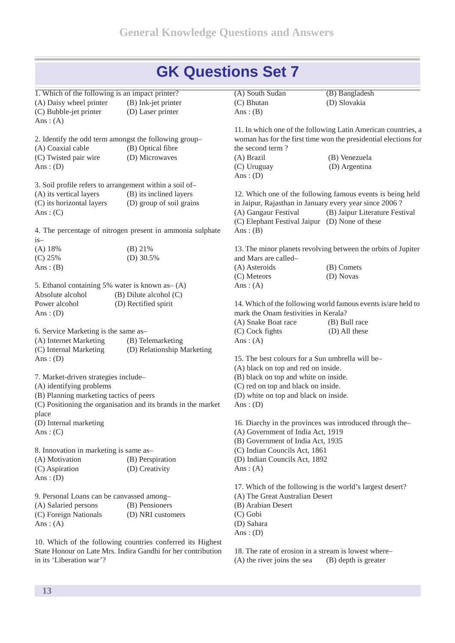| 1. Which of the following is an impact printer?<br>(A) Daisy wheel printer | (B) Ink-jet printer                                           | (A) South Sudan<br>(C) Bhutan                          | (B) Bangladesh<br>(D) Slovakia                                  |
|----------------------------------------------------------------------------|---------------------------------------------------------------|--------------------------------------------------------|-----------------------------------------------------------------|
| (C) Bubble-jet printer                                                     | (D) Laser printer                                             | Ans: $(B)$                                             |                                                                 |
| Ans: $(A)$                                                                 |                                                               |                                                        |                                                                 |
|                                                                            |                                                               |                                                        | 11. In which one of the following Latin American countries, a   |
|                                                                            | 2. Identify the odd term amongst the following group-         |                                                        | woman has for the first time won the presidential elections for |
| (A) Coaxial cable                                                          | (B) Optical fibre                                             | the second term?                                       |                                                                 |
| (C) Twisted pair wire                                                      | (D) Microwaves                                                | (A) Brazil                                             | (B) Venezuela                                                   |
| Ans: $(D)$                                                                 |                                                               | (C) Uruguay                                            | (D) Argentina                                                   |
|                                                                            |                                                               | Ans: $(D)$                                             |                                                                 |
|                                                                            | 3. Soil profile refers to arrangement within a soil of-       |                                                        |                                                                 |
| (A) its vertical layers                                                    | (B) its inclined layers                                       |                                                        | 12. Which one of the following famous events is being held      |
| (C) its horizontal layers                                                  | (D) group of soil grains                                      | in Jaipur, Rajasthan in January every year since 2006? |                                                                 |
| Ans: $(C)$                                                                 |                                                               | (A) Gangaur Festival                                   | (B) Jaipur Literature Festival                                  |
|                                                                            |                                                               | (C) Elephant Festival Jaipur (D) None of these         |                                                                 |
|                                                                            | 4. The percentage of nitrogen present in ammonia sulphate     | Ans: $(B)$                                             |                                                                 |
| $is-$                                                                      |                                                               |                                                        |                                                                 |
| (A) 18%                                                                    | (B) 21%                                                       |                                                        | 13. The minor planets revolving between the orbits of Jupiter   |
| (C) 25%                                                                    | (D) $30.5%$                                                   | and Mars are called-                                   |                                                                 |
| Ans: $(B)$                                                                 |                                                               | (A) Asteroids                                          | (B) Comets                                                      |
|                                                                            |                                                               | (C) Meteors                                            | (D) Novas                                                       |
|                                                                            | 5. Ethanol containing 5% water is known as - (A)              | Ans: $(A)$                                             |                                                                 |
| Absolute alcohol                                                           | $(B)$ Dilute alcohol $(C)$                                    |                                                        |                                                                 |
| Power alcohol                                                              | (D) Rectified spirit                                          |                                                        | 14. Which of the following world famous events is/are held to   |
| Ans: $(D)$                                                                 |                                                               | mark the Onam festivities in Kerala?                   |                                                                 |
|                                                                            |                                                               | (A) Snake Boat race                                    | (B) Bull race                                                   |
| 6. Service Marketing is the same as-                                       |                                                               | (C) Cock fights                                        | (D) All these                                                   |
| (A) Internet Marketing                                                     | (B) Telemarketing                                             | Ans: $(A)$                                             |                                                                 |
| (C) Internal Marketing                                                     | (D) Relationship Marketing                                    |                                                        |                                                                 |
| Ans: $(D)$                                                                 |                                                               | 15. The best colours for a Sun umbrella will be-       |                                                                 |
|                                                                            |                                                               | (A) black on top and red on inside.                    |                                                                 |
| 7. Market-driven strategies include-                                       |                                                               | (B) black on top and white on inside.                  |                                                                 |
| (A) identifying problems                                                   |                                                               | (C) red on top and black on inside.                    |                                                                 |
| (B) Planning marketing tactics of peers                                    |                                                               | (D) white on top and black on inside.                  |                                                                 |
|                                                                            | (C) Positioning the organisation and its brands in the market | Ans: $(D)$                                             |                                                                 |
| place                                                                      |                                                               |                                                        |                                                                 |
| (D) Internal marketing                                                     |                                                               |                                                        | 16. Diarchy in the provinces was introduced through the-        |
| Ans: $(C)$                                                                 |                                                               | (A) Government of India Act, 1919                      |                                                                 |
|                                                                            |                                                               | (B) Government of India Act, 1935                      |                                                                 |
| 8. Innovation in marketing is same as-                                     |                                                               | (C) Indian Councils Act, 1861                          |                                                                 |
| (A) Motivation                                                             | (B) Perspiration                                              | (D) Indian Councils Act, 1892                          |                                                                 |
| (C) Aspiration                                                             | (D) Creativity                                                | Ans: $(A)$                                             |                                                                 |
| Ans: $(D)$                                                                 |                                                               |                                                        |                                                                 |
|                                                                            |                                                               |                                                        | 17. Which of the following is the world's largest desert?       |
| 9. Personal Loans can be canvassed among-                                  |                                                               | (A) The Great Australian Desert                        |                                                                 |
| (A) Salaried persons                                                       | (B) Pensioners                                                | (B) Arabian Desert                                     |                                                                 |
| (C) Foreign Nationals                                                      | (D) NRI customers                                             | (C) Gobi                                               |                                                                 |
| Ans: $(A)$                                                                 |                                                               | (D) Sahara                                             |                                                                 |
|                                                                            |                                                               | Ans: $(D)$                                             |                                                                 |
|                                                                            | 10. Which of the following countries conferred its Highest    |                                                        |                                                                 |

18. The rate of erosion in a stream is lowest where–

(A) the river joins the sea (B) depth is greater

in its 'Liberation war'?

State Honour on Late Mrs. Indira Gandhi for her contribution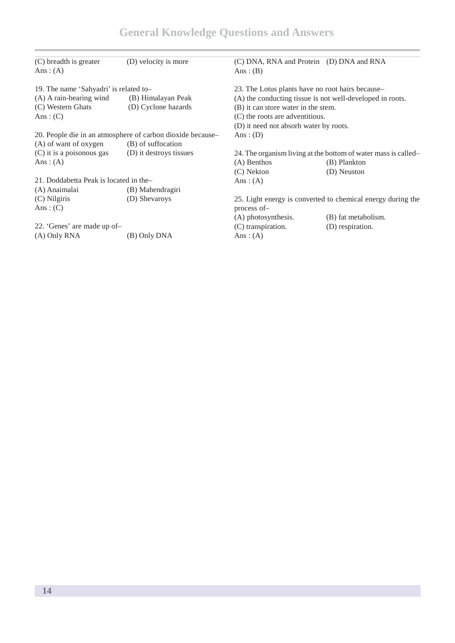| (C) breadth is greater                 | (D) velocity is more                                       | (C) DNA, RNA and Protein (D) DNA and RNA                       |                                                             |
|----------------------------------------|------------------------------------------------------------|----------------------------------------------------------------|-------------------------------------------------------------|
| Ans: $(A)$                             |                                                            | Ans: $(B)$                                                     |                                                             |
| 19. The name 'Sahyadri' is related to- |                                                            | 23. The Lotus plants have no root hairs because-               |                                                             |
| (A) A rain-bearing wind                | (B) Himalayan Peak                                         |                                                                | (A) the conducting tissue is not well-developed in roots.   |
| (C) Western Ghats                      | (D) Cyclone hazards                                        | (B) it can store water in the stem.                            |                                                             |
| Ans: $(C)$                             |                                                            | (C) the roots are adventitious.                                |                                                             |
|                                        |                                                            | (D) it need not absorb water by roots.                         |                                                             |
|                                        | 20. People die in an atmosphere of carbon dioxide because- | Ans: $(D)$                                                     |                                                             |
| (A) of want of oxygen                  | (B) of suffocation                                         |                                                                |                                                             |
| (C) it is a poisonous gas              | (D) it destroys tissues                                    | 24. The organism living at the bottom of water mass is called- |                                                             |
| Ans: $(A)$                             |                                                            | (A) Benthos                                                    | (B) Plankton                                                |
|                                        |                                                            | (C) Nekton                                                     | (D) Neuston                                                 |
| 21. Doddabetta Peak is located in the- |                                                            | Ans: $(A)$                                                     |                                                             |
| (A) Anaimalai                          | (B) Mahendragiri                                           |                                                                |                                                             |
| (C) Nilgiris                           | (D) Shevaroys                                              |                                                                | 25. Light energy is converted to chemical energy during the |
| Ans: $(C)$                             |                                                            | process of-                                                    |                                                             |
|                                        |                                                            | (A) photosynthesis.                                            | (B) fat metabolism.                                         |
| 22. 'Genes' are made up of-            |                                                            | (C) transpiration.                                             | (D) respiration.                                            |
| (A) Only RNA                           | (B) Only DNA                                               | Ans: $(A)$                                                     |                                                             |
|                                        |                                                            |                                                                |                                                             |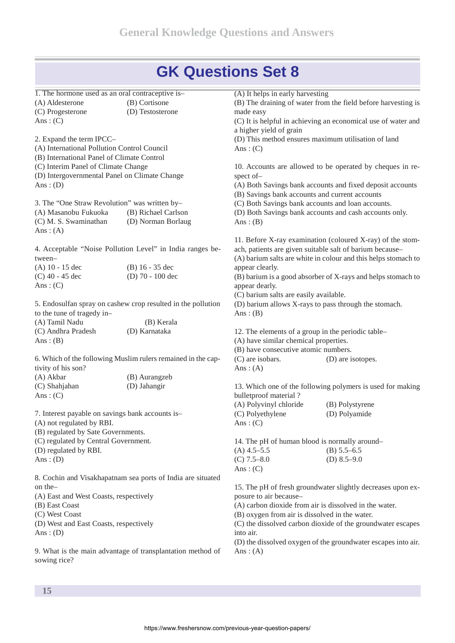| 1. The hormone used as an oral contraceptive is-                           |                                                              | (A) It helps in early harvesting                       |                                                                |
|----------------------------------------------------------------------------|--------------------------------------------------------------|--------------------------------------------------------|----------------------------------------------------------------|
| (A) Aldesterone                                                            | (B) Cortisone                                                |                                                        | (B) The draining of water from the field before harvesting is  |
| (C) Progesterone                                                           | (D) Testosterone                                             | made easy                                              |                                                                |
| Ans: $(C)$                                                                 |                                                              |                                                        | (C) It is helpful in achieving an economical use of water and  |
|                                                                            |                                                              | a higher yield of grain                                |                                                                |
| 2. Expand the term IPCC-                                                   |                                                              |                                                        | (D) This method ensures maximum utilisation of land            |
| (A) International Pollution Control Council                                |                                                              | Ans: $(C)$                                             |                                                                |
| (B) International Panel of Climate Control                                 |                                                              |                                                        |                                                                |
| (C) Interim Panel of Climate Change                                        |                                                              |                                                        | 10. Accounts are allowed to be operated by cheques in re-      |
| (D) Intergovernmental Panel on Climate Change                              |                                                              | spect of-                                              |                                                                |
| Ans: $(D)$                                                                 |                                                              |                                                        | (A) Both Savings bank accounts and fixed deposit accounts      |
|                                                                            |                                                              | (B) Savings bank accounts and current accounts         |                                                                |
| 3. The "One Straw Revolution" was written by-                              |                                                              | (C) Both Savings bank accounts and loan accounts.      |                                                                |
| (A) Masanobu Fukuoka                                                       | (B) Richael Carlson                                          |                                                        | (D) Both Savings bank accounts and cash accounts only.         |
| (C) M. S. Swaminathan<br>Ans: $(A)$                                        | (D) Norman Borlaug                                           | Ans: $(B)$                                             |                                                                |
|                                                                            |                                                              |                                                        | 11. Before X-ray examination (coloured X-ray) of the stom-     |
|                                                                            | 4. Acceptable "Noise Pollution Level" in India ranges be-    |                                                        | ach, patients are given suitable salt of barium because-       |
| tween-                                                                     |                                                              |                                                        | (A) barium salts are white in colour and this helps stomach to |
| (A) 10 - 15 dec                                                            | $(B)$ 16 - 35 dec                                            | appear clearly.                                        |                                                                |
| (C) 40 - 45 dec                                                            | (D) $70 - 100$ dec                                           |                                                        | (B) barium is a good absorber of X-rays and helps stomach to   |
| Ans: $(C)$                                                                 |                                                              | appear dearly.                                         |                                                                |
|                                                                            |                                                              | (C) barium salts are easily available.                 |                                                                |
|                                                                            | 5. Endosulfan spray on cashew crop resulted in the pollution | (D) barium allows X-rays to pass through the stomach.  |                                                                |
| to the tune of tragedy in-                                                 |                                                              | Ans: $(B)$                                             |                                                                |
| (A) Tamil Nadu                                                             | (B) Kerala                                                   |                                                        |                                                                |
| (C) Andhra Pradesh                                                         | (D) Karnataka                                                | 12. The elements of a group in the periodic table-     |                                                                |
| Ans: $(B)$                                                                 |                                                              | (A) have similar chemical properties.                  |                                                                |
|                                                                            |                                                              | (B) have consecutive atomic numbers.                   |                                                                |
|                                                                            | 6. Which of the following Muslim rulers remained in the cap- | (C) are isobars.                                       | (D) are isotopes.                                              |
| tivity of his son?                                                         |                                                              | Ans: $(A)$                                             |                                                                |
| (A) Akbar                                                                  | (B) Aurangzeb                                                |                                                        |                                                                |
| (C) Shahjahan                                                              | (D) Jahangir                                                 |                                                        | 13. Which one of the following polymers is used for making     |
| Ans: $(C)$                                                                 |                                                              | bulletproof material?                                  |                                                                |
|                                                                            |                                                              | (A) Polyvinyl chloride                                 | (B) Polystyrene                                                |
| 7. Interest payable on savings bank accounts is-                           |                                                              | (C) Polyethylene                                       | (D) Polyamide                                                  |
| (A) not regulated by RBI.                                                  |                                                              | Ans: $(C)$                                             |                                                                |
| (B) regulated by Sate Governments.                                         |                                                              |                                                        |                                                                |
| (C) regulated by Central Government.                                       |                                                              | 14. The pH of human blood is normally around-          |                                                                |
| (D) regulated by RBI.                                                      |                                                              | $(A)$ 4.5–5.5                                          | $(B) 5.5 - 6.5$                                                |
| Ans: $(D)$                                                                 |                                                              | $(C)$ 7.5–8.0                                          | (D) $8.5 - 9.0$                                                |
|                                                                            |                                                              | Ans: $(C)$                                             |                                                                |
|                                                                            | 8. Cochin and Visakhapatnam sea ports of India are situated  |                                                        |                                                                |
| on the-                                                                    |                                                              |                                                        | 15. The pH of fresh groundwater slightly decreases upon ex-    |
| (A) East and West Coasts, respectively                                     |                                                              | posure to air because-                                 |                                                                |
| (B) East Coast                                                             |                                                              | (A) carbon dioxide from air is dissolved in the water. |                                                                |
| (C) West Coast                                                             |                                                              | (B) oxygen from air is dissolved in the water.         |                                                                |
| (D) West and East Coasts, respectively                                     |                                                              |                                                        | (C) the dissolved carbon dioxide of the groundwater escapes    |
| Ans: $(D)$                                                                 |                                                              | into air.                                              |                                                                |
|                                                                            |                                                              |                                                        | (D) the dissolved oxygen of the groundwater escapes into air.  |
| 9. What is the main advantage of transplantation method of<br>sowing rice? |                                                              | Ans: $(A)$                                             |                                                                |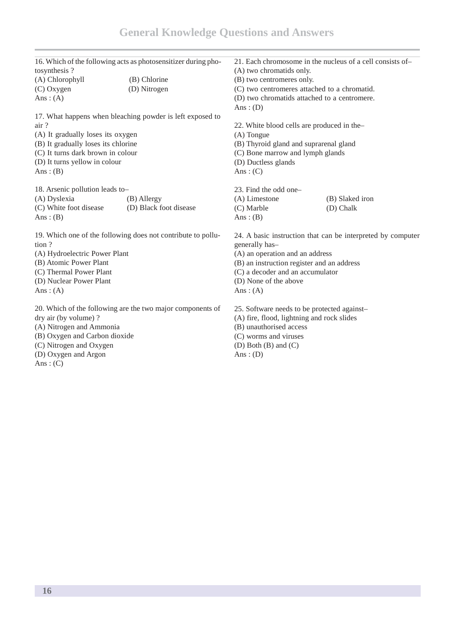|                                                              | 16. Which of the following acts as photosensitizer during pho- |                                                                                                                                                                            | 21. Each chromosome in the nucleus of a cell consists of-   |
|--------------------------------------------------------------|----------------------------------------------------------------|----------------------------------------------------------------------------------------------------------------------------------------------------------------------------|-------------------------------------------------------------|
| tosynthesis?                                                 |                                                                | (A) two chromatids only.                                                                                                                                                   |                                                             |
| (A) Chlorophyll                                              | (B) Chlorine                                                   | (B) two centromeres only.                                                                                                                                                  |                                                             |
| $(C)$ Oxygen                                                 | (D) Nitrogen                                                   | (C) two centromeres attached to a chromatid.                                                                                                                               |                                                             |
| Ans: $(A)$                                                   |                                                                | (D) two chromatids attached to a centromere.                                                                                                                               |                                                             |
|                                                              |                                                                | Ans: $(D)$                                                                                                                                                                 |                                                             |
|                                                              | 17. What happens when bleaching powder is left exposed to      |                                                                                                                                                                            |                                                             |
| air?                                                         |                                                                | 22. White blood cells are produced in the-                                                                                                                                 |                                                             |
| (A) It gradually loses its oxygen                            |                                                                | $(A)$ Tongue                                                                                                                                                               |                                                             |
| (B) It gradually loses its chlorine                          |                                                                | (B) Thyroid gland and suprarenal gland                                                                                                                                     |                                                             |
| (C) It turns dark brown in colour                            |                                                                | (C) Bone marrow and lymph glands                                                                                                                                           |                                                             |
| (D) It turns yellow in colour                                |                                                                | (D) Ductless glands                                                                                                                                                        |                                                             |
| Ans: $(B)$                                                   |                                                                | Ans: $(C)$                                                                                                                                                                 |                                                             |
| 18. Arsenic pollution leads to-                              |                                                                | 23. Find the odd one-                                                                                                                                                      |                                                             |
| (A) Dyslexia                                                 | (B) Allergy                                                    | (A) Limestone                                                                                                                                                              | (B) Slaked iron                                             |
| (C) White foot disease                                       | (D) Black foot disease                                         | (C) Marble                                                                                                                                                                 | (D) Chalk                                                   |
| Ans: $(B)$                                                   |                                                                | Ans: $(B)$                                                                                                                                                                 |                                                             |
| 19. Which one of the following does not contribute to pollu- |                                                                |                                                                                                                                                                            | 24. A basic instruction that can be interpreted by computer |
| tion?                                                        |                                                                | generally has-<br>(A) an operation and an address<br>(B) an instruction register and an address<br>(C) a decoder and an accumulator<br>(D) None of the above<br>Ans: $(A)$ |                                                             |
| (A) Hydroelectric Power Plant                                |                                                                |                                                                                                                                                                            |                                                             |
| (B) Atomic Power Plant                                       |                                                                |                                                                                                                                                                            |                                                             |
| (C) Thermal Power Plant                                      |                                                                |                                                                                                                                                                            |                                                             |
| (D) Nuclear Power Plant                                      |                                                                |                                                                                                                                                                            |                                                             |
| Ans: $(A)$                                                   |                                                                |                                                                                                                                                                            |                                                             |
| 20. Which of the following are the two major components of   |                                                                | 25. Software needs to be protected against-                                                                                                                                |                                                             |
| dry air (by volume)?                                         |                                                                | (A) fire, flood, lightning and rock slides                                                                                                                                 |                                                             |
| (A) Nitrogen and Ammonia                                     |                                                                | (B) unauthorised access<br>(C) worms and viruses                                                                                                                           |                                                             |
| (B) Oxygen and Carbon dioxide                                |                                                                |                                                                                                                                                                            |                                                             |
| (C) Nitrogen and Oxygen                                      |                                                                | (D) Both $(B)$ and $(C)$                                                                                                                                                   |                                                             |
| (D) Oxygen and Argon                                         |                                                                | Ans: $(D)$                                                                                                                                                                 |                                                             |
| Ans: $(C)$                                                   |                                                                |                                                                                                                                                                            |                                                             |
|                                                              |                                                                |                                                                                                                                                                            |                                                             |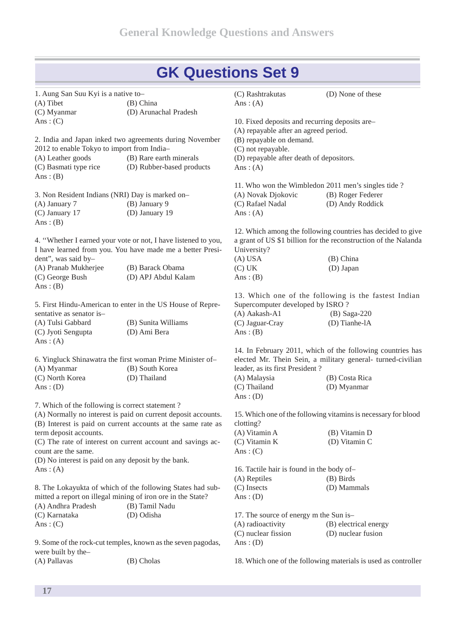| 1. Aung San Suu Kyi is a native to-<br>(A) Tibet    | (B) China                                                      | (C) Rashtrakutas<br>Ans: $(A)$                 | (D) None of these                                               |
|-----------------------------------------------------|----------------------------------------------------------------|------------------------------------------------|-----------------------------------------------------------------|
| (C) Myanmar                                         | (D) Arunachal Pradesh                                          |                                                |                                                                 |
| Ans: $(C)$                                          |                                                                | 10. Fixed deposits and recurring deposits are- |                                                                 |
|                                                     |                                                                | (A) repayable after an agreed period.          |                                                                 |
|                                                     | 2. India and Japan inked two agreements during November        | (B) repayable on demand.                       |                                                                 |
| 2012 to enable Tokyo to import from India-          |                                                                | (C) not repayable.                             |                                                                 |
| (A) Leather goods                                   | (B) Rare earth minerals                                        | (D) repayable after death of depositors.       |                                                                 |
| (C) Basmati type rice<br>Ans: $(B)$                 | (D) Rubber-based products                                      | Ans: $(A)$                                     |                                                                 |
|                                                     |                                                                |                                                | 11. Who won the Wimbledon 2011 men's singles tide?              |
| 3. Non Resident Indians (NRI) Day is marked on-     |                                                                | (A) Novak Djokovic                             | (B) Roger Federer                                               |
| (A) January 7                                       | (B) January 9                                                  | (C) Rafael Nadal                               | (D) Andy Roddick                                                |
| (C) January 17                                      | (D) January 19                                                 | Ans: $(A)$                                     |                                                                 |
| Ans: $(B)$                                          |                                                                |                                                |                                                                 |
|                                                     |                                                                |                                                | 12. Which among the following countries has decided to give     |
|                                                     | 4. "Whether I earned your vote or not, I have listened to you, |                                                | a grant of US \$1 billion for the reconstruction of the Nalanda |
|                                                     | I have learned from you. You have made me a better Presi-      | University?                                    |                                                                 |
| dent", was said by-                                 |                                                                | $(A)$ USA                                      | (B) China                                                       |
| (A) Pranab Mukherjee                                | (B) Barack Obama                                               | (C) UK                                         | (D) Japan                                                       |
| (C) George Bush<br>Ans: $(B)$                       | (D) APJ Abdul Kalam                                            | Ans: $(B)$                                     |                                                                 |
|                                                     |                                                                |                                                | 13. Which one of the following is the fastest Indian            |
|                                                     | 5. First Hindu-American to enter in the US House of Repre-     | Supercomputer developed by ISRO ?              |                                                                 |
| sentative as senator is-                            |                                                                | (A) Aakash-A1                                  | $(B)$ Saga-220                                                  |
| (A) Tulsi Gabbard                                   | (B) Sunita Williams                                            | (C) Jaguar-Cray                                | (D) Tianhe-lA                                                   |
| (C) Jyoti Sengupta                                  | (D) Ami Bera                                                   | Ans: $(B)$                                     |                                                                 |
| Ans: $(A)$                                          |                                                                |                                                |                                                                 |
|                                                     |                                                                |                                                | 14. In February 2011, which of the following countries has      |
|                                                     | 6. Yingluck Shinawatra the first woman Prime Minister of-      |                                                | elected Mr. Thein Sein, a military general- turned-civilian     |
| (A) Myanmar                                         | (B) South Korea                                                | leader, as its first President?                |                                                                 |
| (C) North Korea                                     | (D) Thailand                                                   | (A) Malaysia                                   | (B) Costa Rica                                                  |
| Ans: $(D)$                                          |                                                                | (C) Thailand                                   | (D) Myanmar                                                     |
|                                                     |                                                                | Ans: $(D)$                                     |                                                                 |
| 7. Which of the following is correct statement?     |                                                                |                                                |                                                                 |
|                                                     | (A) Normally no interest is paid on current deposit accounts.  |                                                | 15. Which one of the following vitamins is necessary for blood  |
|                                                     | (B) Interest is paid on current accounts at the same rate as   | clotting?                                      |                                                                 |
| term deposit accounts.                              |                                                                | (A) Vitamin A                                  | (B) Vitamin D                                                   |
|                                                     | (C) The rate of interest on current account and savings ac-    | (C) Vitamin K                                  | (D) Vitamin C                                                   |
| count are the same.                                 |                                                                | Ans: $(C)$                                     |                                                                 |
| (D) No interest is paid on any deposit by the bank. |                                                                |                                                |                                                                 |
| Ans: $(A)$                                          |                                                                | 16. Tactile hair is found in the body of-      |                                                                 |
|                                                     |                                                                | (A) Reptiles                                   | (B) Birds                                                       |
|                                                     | 8. The Lokayukta of which of the following States had sub-     | (C) Insects                                    | (D) Mammals                                                     |
|                                                     | mitted a report on illegal mining of iron ore in the State?    | Ans: $(D)$                                     |                                                                 |
| (A) Andhra Pradesh                                  | (B) Tamil Nadu                                                 |                                                |                                                                 |
|                                                     |                                                                |                                                |                                                                 |
| (C) Karnataka                                       | (D) Odisha                                                     | 17. The source of energy m the Sun is-         |                                                                 |
| Ans: $(C)$                                          |                                                                | (A) radioactivity                              | (B) electrical energy                                           |
|                                                     |                                                                | (C) nuclear fission                            | (D) nuclear fusion                                              |
|                                                     | 9. Some of the rock-cut temples, known as the seven pagodas,   | Ans: $(D)$                                     |                                                                 |
| were built by the-                                  |                                                                |                                                |                                                                 |

(A) Pallavas (B) Cholas

18. Which one of the following materials is used as controller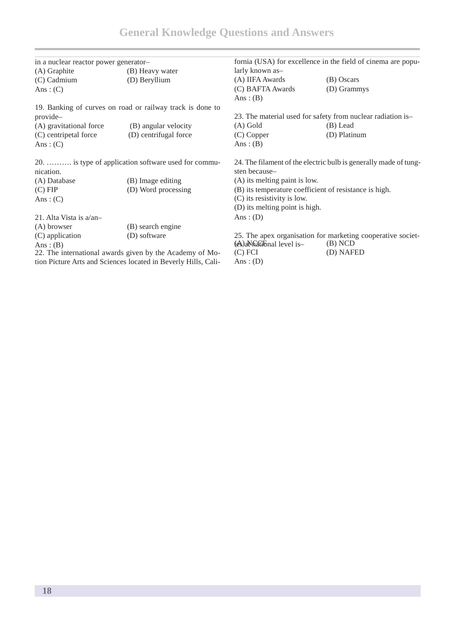| in a nuclear reactor power generator-                          |                                                           | fornia (USA) for excellence in the field of cinema are popu- |                                                                  |
|----------------------------------------------------------------|-----------------------------------------------------------|--------------------------------------------------------------|------------------------------------------------------------------|
| (A) Graphite                                                   | (B) Heavy water                                           | larly known as-                                              |                                                                  |
| $(C)$ Cadmium                                                  | (D) Beryllium                                             | (A) IIFA Awards                                              | (B) Oscars                                                       |
| Ans: $(C)$                                                     |                                                           | (C) BAFTA Awards                                             | (D) Grammys                                                      |
|                                                                |                                                           | Ans: $(B)$                                                   |                                                                  |
|                                                                | 19. Banking of curves on road or railway track is done to |                                                              |                                                                  |
| provide-                                                       |                                                           |                                                              | 23. The material used for safety from nuclear radiation is-      |
| (A) gravitational force                                        | (B) angular velocity                                      | (A) Gold                                                     | (B) Lead                                                         |
| (C) centripetal force                                          | (D) centrifugal force                                     | $(C)$ Copper                                                 | (D) Platinum                                                     |
| Ans: $(C)$                                                     |                                                           | Ans: $(B)$                                                   |                                                                  |
|                                                                | 20.  is type of application software used for commu-      |                                                              | 24. The filament of the electric bulb is generally made of tung- |
| nication.                                                      |                                                           | sten because-                                                |                                                                  |
| (A) Database                                                   | (B) Image editing                                         | (A) its melting paint is low.                                |                                                                  |
| (C) FIP                                                        | (D) Word processing                                       |                                                              | (B) its temperature coefficient of resistance is high.           |
| Ans: $(C)$                                                     |                                                           | (C) its resistivity is low.                                  |                                                                  |
|                                                                |                                                           | (D) its melting point is high.                               |                                                                  |
| 21. Alta Vista is $a/an-$                                      |                                                           | Ans: $(D)$                                                   |                                                                  |
| (A) browser                                                    | (B) search engine                                         |                                                              |                                                                  |
| (C) application                                                | (D) software                                              |                                                              | 25. The apex organisation for marketing cooperative societ-      |
| Ans: $(B)$                                                     |                                                           | (es)aNhatibnal level is-                                     | (B) NCD                                                          |
| 22. The international awards given by the Academy of Mo-       |                                                           | $(C)$ FCI                                                    | (D) NAFED                                                        |
| tion Picture Arts and Sciences located in Beverly Hills, Cali- |                                                           | Ans: $(D)$                                                   |                                                                  |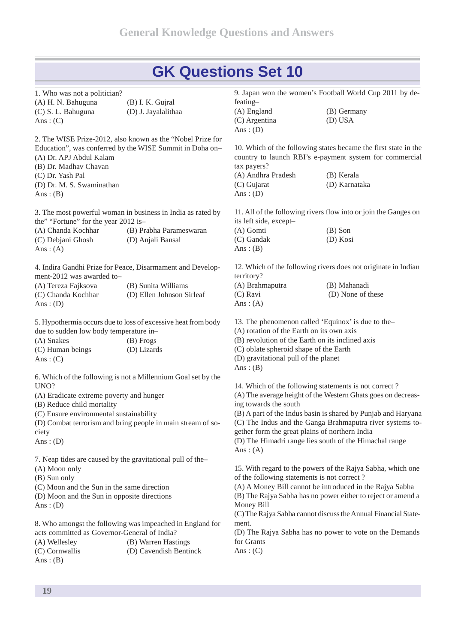1. Who was not a politician? (A) H. N. Bahuguna (B) I. K. Gujral (C) S. L. Bahuguna (D) J. Jayalalithaa Ans:  $(C)$ 

2. The WISE Prize-2012, also known as the "Nobel Prize for Education", was conferred by the WISE Summit in Doha on– (A) Dr. APJ Abdul Kalam (B) Dr. Madhav Chavan (C) Dr. Yash Pal

(D) Dr. M. S. Swaminathan Ans:  $(B)$ 

3. The most powerful woman in business in India as rated by the" "Fortune" for the year 2012 is–

(A) Chanda Kochhar (B) Prabha Parameswaran (C) Debjani Ghosh (D) Anjali Bansal Ans:  $(A)$ 

4. Indira Gandhi Prize for Peace, Disarmament and Develop ment-2012 was awarded to–

| (A) Tereza Fajksova | (B) Sunita Williams       |
|---------------------|---------------------------|
| (C) Chanda Kochhar  | (D) Ellen Johnson Sirleaf |
| Ans: $(D)$          |                           |

5. Hypothermia occurs due to loss of excessive heat from body due to sudden low body temperature in–

| (A) Snakes       | (B) Frogs   |
|------------------|-------------|
| (C) Human beings | (D) Lizards |
| Ans: $(C)$       |             |

6. Which of the following is not a Millennium Goal set by the UNO?

(A) Eradicate extreme poverty and hunger

(B) Reduce child mortality

(C) Ensure environmental sustainability

(D) Combat terrorism and bring people in main stream of so ciety

Ans:  $(D)$ 

7. Neap tides are caused by the gravitational pull of the– (A) Moon only

(B) Sun only

(C) Moon and the Sun in the same direction (D) Moon and the Sun in opposite directions

Ans:  $(D)$ 

8. Who amongst the following was impeached in England for acts committed as Governor-General of India? (A) Wellesley (B) Warren Hastings (C) Cornwallis (D) Cavendish Bentinck Ans:  $(B)$ 

feating– (A) England (B) Germany (C) Argentina (D) USA Ans:  $(D)$ 

9. Japan won the women's Football World Cup 2011 by de-

10. Which of the following states became the first state in the country to launch RBI's e-payment system for commercial tax payers?

| (A) Andhra Pradesh | (B) Kerala    |
|--------------------|---------------|
| (C) Gujarat        | (D) Karnataka |
| Ans: $(D)$         |               |

11. All of the following rivers flow into or join the Ganges on its left side, except–

| (A) Gomti  | $(B)$ Son |
|------------|-----------|
| (C) Gandak | (D) Kosi  |
| Ans: $(B)$ |           |

12. Which of the following rivers does not originate in Indian territory?

| (A) Brahmaputra | (B) Mahanadi      |
|-----------------|-------------------|
| (C) Ravi        | (D) None of these |
| Ans: $(A)$      |                   |

13. The phenomenon called 'Equinox' is due to the–

(A) rotation of the Earth on its own axis

(B) revolution of the Earth on its inclined axis

(C) oblate spheroid shape of the Earth

(D) gravitational pull of the planet

Ans:  $(B)$ 

14. Which of the following statements is not correct ? (A) The average height of the Western Ghats goes on decreasing towards the south (B) A part of the Indus basin is shared by Punjab and Haryana (C) The Indus and the Ganga Brahmaputra river systems to gether form the great plains of northern India

(D) The Himadri range lies south of the Himachal range Ans:  $(A)$ 

15. With regard to the powers of the Rajya Sabha, which one of the following statements is not correct ?

(A) A Money Bill cannot be introduced in the Rajya Sabha (B) The Rajya Sabha has no power either to reject or amend a Money Bill

(C)The Rajya Sabha cannot discusstheAnnual Financial State ment.

(D) The Rajya Sabha has no power to vote on the Demands for Grants

Ans:  $(C)$